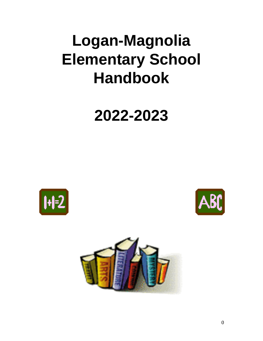# **Logan-Magnolia Elementary School Handbook**

# **2022-2023**





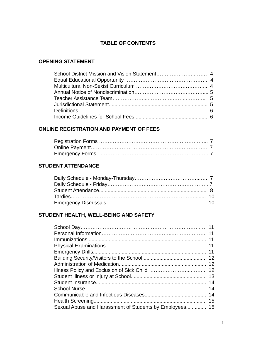# **TABLE OF CONTENTS**

# **OPENING STATEMENT**

# **ONLINE REGISTRATION AND PAYMENT OF FEES**

## **STUDENT ATTENDANCE**

# **STUDENT HEALTH, WELL-BEING AND SAFETY**

|                                                         | 11 |
|---------------------------------------------------------|----|
|                                                         | 11 |
|                                                         | 11 |
|                                                         | 12 |
|                                                         | 12 |
|                                                         | 12 |
|                                                         |    |
|                                                         | 14 |
|                                                         | 14 |
|                                                         | 14 |
|                                                         | 15 |
| Sexual Abuse and Harassment of Students by Employees 15 |    |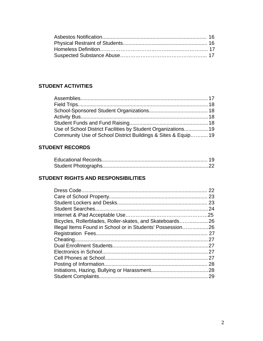# **STUDENT ACTIVITIES**

| Use of School District Facilities by Student Organizations19  |  |
|---------------------------------------------------------------|--|
| Community Use of School District Buildings & Sites & Equip 19 |  |

# **STUDENT RECORDS**

# **STUDENT RIGHTS AND RESPONSIBILITIES**

|                                                             | 22 |
|-------------------------------------------------------------|----|
|                                                             |    |
|                                                             |    |
|                                                             |    |
|                                                             |    |
| Bicycles, Rollerblades, Roller-skates, and Skateboards 26   |    |
| Illegal Items Found in School or in Students' Possession 26 |    |
|                                                             |    |
|                                                             |    |
|                                                             |    |
|                                                             |    |
|                                                             |    |
|                                                             |    |
|                                                             |    |
|                                                             |    |
|                                                             |    |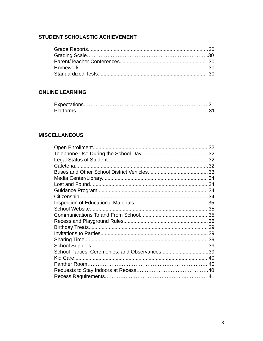# STUDENT SCHOLASTIC ACHIEVEMENT

# **ONLINE LEARNING**

# **MISCELLANEOUS**

|                                               | 32 |
|-----------------------------------------------|----|
|                                               | 32 |
|                                               |    |
|                                               |    |
|                                               |    |
|                                               |    |
|                                               |    |
|                                               |    |
|                                               |    |
|                                               |    |
|                                               | 35 |
|                                               |    |
|                                               |    |
|                                               |    |
|                                               |    |
|                                               |    |
|                                               |    |
| School Parties, Ceremonies, and Observances39 |    |
|                                               |    |
|                                               |    |
|                                               |    |
|                                               |    |
|                                               |    |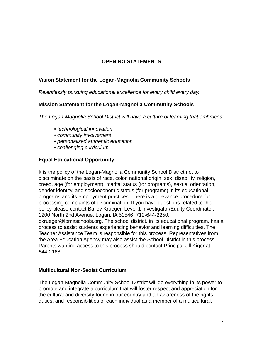# **OPENING STATEMENTS**

# **Vision Statement for the Logan-Magnolia Community Schools**

*Relentlessly pursuing educational excellence for every child every day.*

## **Mission Statement for the Logan-Magnolia Community Schools**

*The Logan-Magnolia School District will have a culture of learning that embraces:*

- *technological innovation*
- *community involvement*
- *personalized authentic education*
- *challenging curriculum*

# **Equal Educational Opportunity**

It is the policy of the Logan-Magnolia Community School District not to discriminate on the basis of race, color, national origin, sex, disability, religion, creed, age (for employment), marital status (for programs), sexual orientation, gender identity, and socioeconomic status (for programs) in its educational programs and its employment practices. There is a grievance procedure for processing complaints of discrimination. If you have questions related to this policy please contact Bailey Krueger, Level 1 Investigator/Equity Coordinator, 1200 North 2nd Avenue, Logan, IA 51546, 712-644-2250,

bkrueger@lomaschools.org. The school district, in its educational program, has a process to assist students experiencing behavior and learning difficulties. The Teacher Assistance Team is responsible for this process. Representatives from the Area Education Agency may also assist the School District in this process. Parents wanting access to this process should contact Principal Jill Kiger at 644-2168.

## **Multicultural Non-Sexist Curriculum**

The Logan-Magnolia Community School District will do everything in its power to promote and integrate a curriculum that will foster respect and appreciation for the cultural and diversity found in our country and an awareness of the rights, duties, and responsibilities of each individual as a member of a multicultural,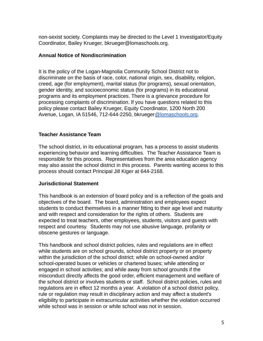non-sexist society. Complaints may be directed to the Level 1 Investigator/Equity Coordinator, Bailey Krueger, bkrueger@lomaschools.org.

# **Annual Notice of Nondiscrimination**

It is the policy of the Logan-Magnolia Community School District not to discriminate on the basis of race, color, national origin, sex, disability, religion, creed, age (for employment), marital status (for programs), sexual orientation, gender identity, and socioeconomic status (for programs) in its educational programs and its employment practices. There is a grievance procedure for processing complaints of discrimination. lf you have questions related to this policy please contact Bailey Krueger, Equity Coordinator, 1200 North 200 Avenue, Logan, IA 51546, 712-644-2250, bkrueger[@lomaschools.org](mailto:jhedger@lomaschools.org).

# **Teacher Assistance Team**

The school district, in its educational program, has a process to assist students experiencing behavior and learning difficulties. The Teacher Assistance Team is responsible for this process. Representatives from the area education agency may also assist the school district in this process. Parents wanting access to this process should contact Principal Jill Kiger at 644-2168.

## **Jurisdictional Statement**

This handbook is an extension of board policy and is a reflection of the goals and objectives of the board. The board, administration and employees expect students to conduct themselves in a manner fitting to their age level and maturity and with respect and consideration for the rights of others. Students are expected to treat teachers, other employees, students, visitors and guests with respect and courtesy. Students may not use abusive language, profanity or obscene gestures or language.

This handbook and school district policies, rules and regulations are in effect while students are on school grounds, school district property or on property within the jurisdiction of the school district; while on school-owned and/or school-operated buses or vehicles or chartered buses; while attending or engaged in school activities; and while away from school grounds if the misconduct directly affects the good order, efficient management and welfare of the school district or involves students or staff. School district policies, rules and regulations are in effect 12 months a year. A violation of a school district policy, rule or regulation may result in disciplinary action and may affect a student's eligibility to participate in extracurricular activities whether the violation occurred while school was in session or while school was not in session.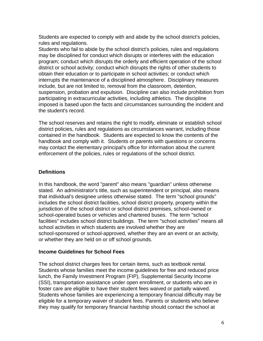Students are expected to comply with and abide by the school district's policies, rules and regulations.

Students who fail to abide by the school district's policies, rules and regulations may be disciplined for conduct which disrupts or interferes with the education program; conduct which disrupts the orderly and efficient operation of the school district or school activity; conduct which disrupts the rights of other students to obtain their education or to participate in school activities; or conduct which interrupts the maintenance of a disciplined atmosphere. Disciplinary measures include, but are not limited to, removal from the classroom, detention, suspension, probation and expulsion. Discipline can also include prohibition from participating in extracurricular activities, including athletics. The discipline imposed is based upon the facts and circumstances surrounding the incident and the student's record.

The school reserves and retains the right to modify, eliminate or establish school district policies, rules and regulations as circumstances warrant, including those contained in the handbook. Students are expected to know the contents of the handbook and comply with it. Students or parents with questions or concerns may contact the elementary principal's office for information about the current enforcement of the policies, rules or regulations of the school district.

# **Definitions**

In this handbook, the word "parent" also means "guardian" unless otherwise stated. An administrator's title, such as superintendent or principal, also means that individual's designee unless otherwise stated. The term "school grounds" includes the school district facilities, school district property, property within the jurisdiction of the school district or school district premises, school-owned or school-operated buses or vehicles and chartered buses. The term "school facilities" includes school district buildings. The term "school activities" means all school activities in which students are involved whether they are school-sponsored or school-approved, whether they are an event or an activity, or whether they are held on or off school grounds.

# **Income Guidelines for School Fees**

The school district charges fees for certain items, such as textbook rental. Students whose families meet the income guidelines for free and reduced price lunch, the Family Investment Program (FIP), Supplemental Security Income (SSI), transportation assistance under open enrollment, or students who are in foster care are eligible to have their student fees waived or partially waived. Students whose families are experiencing a temporary financial difficulty may be eligible for a temporary waiver of student fees. Parents or students who believe they may qualify for temporary financial hardship should contact the school at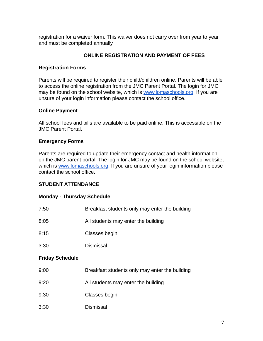registration for a waiver form. This waiver does not carry over from year to year and must be completed annually.

# **ONLINE REGISTRATION AND PAYMENT OF FEES**

# **Registration Forms**

Parents will be required to register their child/children online. Parents will be able to access the online registration from the JMC Parent Portal. The login for JMC may be found on the school website, which is [www.lomaschools.org](http://www.lomaschools.org). If you are unsure of your login information please contact the school office.

# **Online Payment**

All school fees and bills are available to be paid online. This is accessible on the JMC Parent Portal.

# **Emergency Forms**

Parents are required to update their emergency contact and health information on the JMC parent portal. The login for JMC may be found on the school website, which is [www.lomaschools.org](http://www.lomaschools.org). If you are unsure of your login information please contact the school office.

# **STUDENT ATTENDANCE**

# **Monday - Thursday Schedule**

| 7:50                   | Breakfast students only may enter the building |
|------------------------|------------------------------------------------|
| 8:05                   | All students may enter the building            |
| 8:15                   | Classes begin                                  |
| 3:30                   | <b>Dismissal</b>                               |
| <b>Friday Schedule</b> |                                                |
| 9:00                   | Breakfast students only may enter the building |
| 9:20                   | All students may enter the building            |
| 9:30                   | Classes begin                                  |
| 3:30                   | <b>Dismissal</b>                               |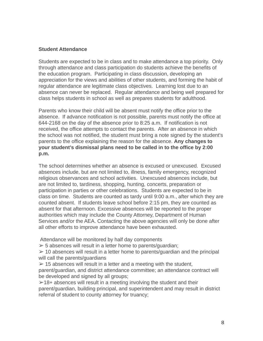## **Student Attendance**

Students are expected to be in class and to make attendance a top priority. Only through attendance and class participation do students achieve the benefits of the education program. Participating in class discussion, developing an appreciation for the views and abilities of other students, and forming the habit of regular attendance are legitimate class objectives. Learning lost due to an absence can never be replaced. Regular attendance and being well prepared for class helps students in school as well as prepares students for adulthood.

Parents who know their child will be absent must notify the office prior to the absence. If advance notification is not possible, parents must notify the office at 644-2168 on the day of the absence prior to 8:25 a.m. If notification is not received, the office attempts to contact the parents. After an absence in which the school was not notified, the student must bring a note signed by the student's parents to the office explaining the reason for the absence. **Any changes to your student's dismissal plans need to be called in to the office by 2:00 p.m.**

The school determines whether an absence is excused or unexcused. Excused absences include, but are not limited to, illness, family emergency, recognized religious observances and school activities. Unexcused absences include, but are not limited to, tardiness, shopping, hunting, concerts, preparation or participation in parties or other celebrations. Students are expected to be in class on time. Students are counted as tardy until 9:00 a.m., after which they are counted absent. If students leave school before 2:15 pm, they are counted as absent for that afternoon. Excessive absences will be reported to the proper authorities which may include the County Attorney, Department of Human Services and/or the AEA. Contacting the above agencies will only be done after all other efforts to improve attendance have been exhausted.

Attendance will be monitored by half day components

 $>$  5 absences will result in a letter home to parents/quardian;

 $\geq 10$  absences will result in a letter home to parents/quardian and the principal will call the parents/guardians

 $>$  15 absences will result in a letter and a meeting with the student, parent/guardian, and district attendance committee; an attendance contract will be developed and signed by all groups;

 $\geq 18$ + absences will result in a meeting involving the student and their parent/guardian, building principal, and superintendent and may result in district referral of student to county attorney for truancy;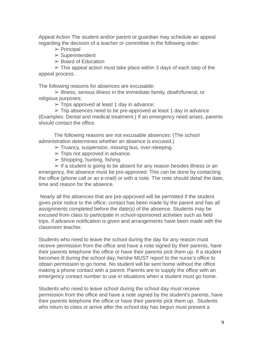Appeal Action The student and/or parent or guardian may schedule an appeal regarding the decision of a teacher or committee in the following order:

- $\triangleright$  Principal
- ➢ Superintendent
- $\geq$  Board of Education

 $\geq$  This appeal action must take place within 3 days of each step of the appeal process.

The following reasons for absences are excusable:

➢ Illness, serious illness in the immediate family, death/funeral, or religious purposes;

 $\triangleright$  Trips approved at least 1 day in advance;

 $\triangleright$  Trip absences need to be pre-approved at least 1 day in advance (Examples: Dental and medical treatment.) If an emergency need arises, parents should contact the office.

The following reasons are not excusable absences: (The school administration determines whether an absence is excused.)

- $\triangleright$  Truancy, suspension, missing bus, over-sleeping.
- $\triangleright$  Trips not approved in advance.
- $\triangleright$  Shopping, hunting, fishing.

 $\triangleright$  If a student is going to be absent for any reason besides illness or an emergency, the absence must be pre-approved. This can be done by contacting the office (phone call or an e-mail) or with a note. The note should detail the date, time and reason for the absence.

Nearly all the absences that are pre-approved will be permitted if the student gives prior notice to the office; contact has been made by the parent and has all assignments completed before the date(s) of the absence. Students may be excused from class to participate in school-sponsored activities such as field trips, if advance notification is given and arrangements have been made with the classroom teacher.

Students who need to leave the school during the day for any reason must receive permission from the office and have a note signed by their parents, have their parents telephone the office or have their parents pick them up. If a student becomes ill during the school day, he/she MUST report to the nurse's office to obtain permission to go home. No student will be sent home without the office making a phone contact with a parent. Parents are to supply the office with an emergency contact number to use in situations when a student must go home.

Students who need to leave school during the school day must receive permission from the office and have a note signed by the student's parents, have their parents telephone the office or have their parents pick them up. Students who return to class or arrive after the school day has begun must present a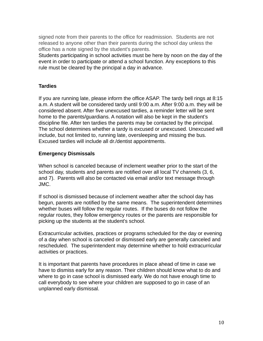signed note from their parents to the office for readmission. Students are not released to anyone other than their parents during the school day unless the office has a note signed by the student's parents.

Students participating in school activities must be here by noon on the day of the event in order to participate or attend a school function. Any exceptions to this rule must be cleared by the principal a day in advance.

# **Tardies**

If you are running late, please inform the office ASAP. The tardy bell rings at 8:15 a.m. A student will be considered tardy until 9:00 a.m. After 9:00 a.m. they will be considered absent. After five unexcused tardies, a reminder letter will be sent home to the parents/guardians. A notation will also be kept in the student's discipline file. After ten tardies the parents may be contacted by the principal. The school determines whether a tardy is excused or unexcused. Unexcused will include, but not limited to, running late, oversleeping and missing the bus. Excused tardies will include all dr./dentist appointments.

# **Emergency Dismissals**

When school is canceled because of inclement weather prior to the start of the school day, students and parents are notified over all local TV channels (3, 6, and 7). Parents will also be contacted via email and/or text message through JMC.

If school is dismissed because of inclement weather after the school day has begun, parents are notified by the same means. The superintendent determines whether buses will follow the regular routes. If the buses do not follow the regular routes, they follow emergency routes or the parents are responsible for picking up the students at the student's school.

Extracurricular activities, practices or programs scheduled for the day or evening of a day when school is canceled or dismissed early are generally canceled and rescheduled. The superintendent may determine whether to hold extracurricular activities or practices.

It is important that parents have procedures in place ahead of time in case we have to dismiss early for any reason. Their children should know what to do and where to go in case school is dismissed early. We do not have enough time to call everybody to see where your children are supposed to go in case of an unplanned early dismissal.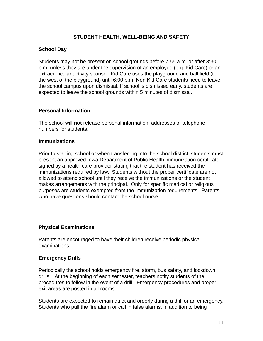# **STUDENT HEALTH, WELL-BEING AND SAFETY**

# **School Day**

Students may not be present on school grounds before 7:55 a.m. or after 3:30 p.m. unless they are under the supervision of an employee (e.g. Kid Care) or an extracurricular activity sponsor. Kid Care uses the playground and ball field (to the west of the playground) until 6:00 p.m. Non Kid Care students need to leave the school campus upon dismissal. If school is dismissed early, students are expected to leave the school grounds within 5 minutes of dismissal.

## **Personal Information**

The school will **not** release personal information, addresses or telephone numbers for students.

#### **Immunizations**

Prior to starting school or when transferring into the school district, students must present an approved Iowa Department of Public Health immunization certificate signed by a health care provider stating that the student has received the immunizations required by law. Students without the proper certificate are not allowed to attend school until they receive the immunizations or the student makes arrangements with the principal. Only for specific medical or religious purposes are students exempted from the immunization requirements. Parents who have questions should contact the school nurse.

## **Physical Examinations**

Parents are encouraged to have their children receive periodic physical examinations.

## **Emergency Drills**

Periodically the school holds emergency fire, storm, bus safety, and lockdown drills. At the beginning of each semester, teachers notify students of the procedures to follow in the event of a drill. Emergency procedures and proper exit areas are posted in all rooms.

Students are expected to remain quiet and orderly during a drill or an emergency. Students who pull the fire alarm or call in false alarms, in addition to being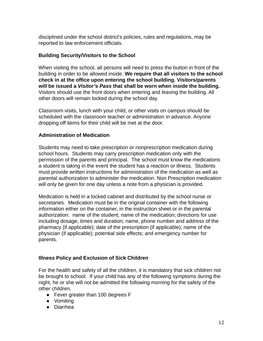disciplined under the school district's policies, rules and regulations, may be reported to law enforcement officials.

# **Building Security/Visitors to the School**

When visiting the school, all persons will need to press the button in front of the building in order to be allowed inside. **We require that all visitors to the school check in at the office upon entering the school building. Visitors/parents will be issued a** *Visitor's Pass* **that shall be worn when inside the building.** Visitors should use the front doors when entering and leaving the building. All other doors will remain locked during the school day.

Classroom visits, lunch with your child, or other visits on campus should be scheduled with the classroom teacher or administration in advance. Anyone dropping off items for their child will be met at the door.

# **Administration of Medication**

Students may need to take prescription or nonprescription medication during school hours. Students may carry prescription medication only with the permission of the parents and principal. The school must know the medications a student is taking in the event the student has a reaction or illness. Students must provide written instructions for administration of the medication as well as parental authorization to administer the medication. Non Prescription medication will only be given for one day unless a note from a physician is provided.

Medication is held in a locked cabinet and distributed by the school nurse or secretaries. Medication must be in the original container with the following information either on the container, in the instruction sheet or in the parental authorization: name of the student; name of the medication; directions for use including dosage, times and duration; name, phone number and address of the pharmacy (if applicable); date of the prescription (if applicable); name of the physician (if applicable); potential side effects; and emergency number for parents.

# **Illness Policy and Exclusion of Sick Children**

For the health and safety of all the children, it is mandatory that sick children not be brought to school. If your child has any of the following symptoms during the night, he or she will not be admitted the following morning for the safety of the other children.

- Fever greater than 100 degrees F
- Vomiting
- Diarrhea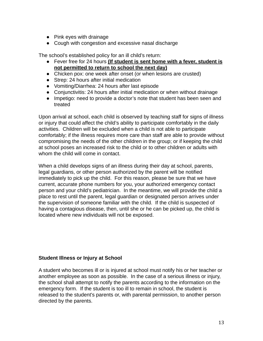- Pink eyes with drainage
- Cough with congestion and excessive nasal discharge

The school's established policy for an ill child's return:

- Fever free for 24 hours **(If student is sent home with a fever, student is not permitted to return to school the next day)**
- Chicken pox: one week after onset (or when lesions are crusted)
- Strep: 24 hours after initial medication
- Vomiting/Diarrhea: 24 hours after last episode
- Conjunctivitis: 24 hours after initial medication or when without drainage
- Impetigo: need to provide a doctor's note that student has been seen and treated

Upon arrival at school, each child is observed by teaching staff for signs of illness or injury that could affect the child's ability to participate comfortably in the daily activities. Children will be excluded when a child is not able to participate comfortably; if the illness requires more care than staff are able to provide without compromising the needs of the other children in the group; or if keeping the child at school poses an increased risk to the child or to other children or adults with whom the child will come in contact.

When a child develops signs of an illness during their day at school, parents, legal guardians, or other person authorized by the parent will be notified immediately to pick up the child. For this reason, please be sure that we have current, accurate phone numbers for you, your authorized emergency contact person and your child's pediatrician. In the meantime, we will provide the child a place to rest until the parent, legal guardian or designated person arrives under the supervision of someone familiar with the child. If the child is suspected of having a contagious disease, then, until she or he can be picked up, the child is located where new individuals will not be exposed.

# **Student Illness or Injury at School**

A student who becomes ill or is injured at school must notify his or her teacher or another employee as soon as possible. In the case of a serious illness or injury, the school shall attempt to notify the parents according to the information on the emergency form. If the student is too ill to remain in school, the student is released to the student's parents or, with parental permission, to another person directed by the parents.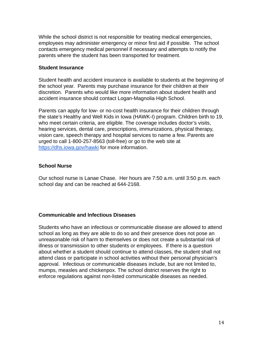While the school district is not responsible for treating medical emergencies, employees may administer emergency or minor first aid if possible. The school contacts emergency medical personnel if necessary and attempts to notify the parents where the student has been transported for treatment.

#### **Student Insurance**

Student health and accident insurance is available to students at the beginning of the school year. Parents may purchase insurance for their children at their discretion. Parents who would like more information about student health and accident insurance should contact Logan-Magnolia High School.

Parents can apply for low- or no-cost health insurance for their children through the state's Healthy and Well Kids in Iowa (HAWK-I) program. Children birth to 19, who meet certain criteria, are eligible. The coverage includes doctor's visits, hearing services, dental care, prescriptions, immunizations, physical therapy, vision care, speech therapy and hospital services to name a few. Parents are urged to call 1-800-257-8563 (toll-free) or go to the web site at https://dhs.jowa.gov/hawki for more information.

#### **School Nurse**

Our school nurse is Lanae Chase. Her hours are 7:50 a.m. until 3:50 p.m. each school day and can be reached at 644-2168.

## **Communicable and Infectious Diseases**

Students who have an infectious or communicable disease are allowed to attend school as long as they are able to do so and their presence does not pose an unreasonable risk of harm to themselves or does not create a substantial risk of illness or transmission to other students or employees. If there is a question about whether a student should continue to attend classes, the student shall not attend class or participate in school activities without their personal physician's approval. Infectious or communicable diseases include, but are not limited to, mumps, measles and chickenpox. The school district reserves the right to enforce regulations against non-listed communicable diseases as needed.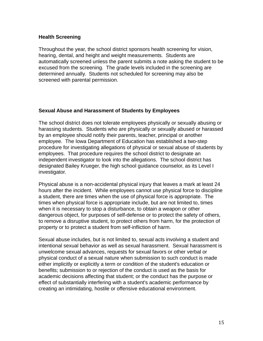## **Health Screening**

Throughout the year, the school district sponsors health screening for vision, hearing, dental, and height and weight measurements. Students are automatically screened unless the parent submits a note asking the student to be excused from the screening. The grade levels included in the screening are determined annually. Students not scheduled for screening may also be screened with parental permission.

## **Sexual Abuse and Harassment of Students by Employees**

The school district does not tolerate employees physically or sexually abusing or harassing students. Students who are physically or sexually abused or harassed by an employee should notify their parents, teacher, principal or another employee. The Iowa Department of Education has established a two-step procedure for investigating allegations of physical or sexual abuse of students by employees. That procedure requires the school district to designate an independent investigator to look into the allegations. The school district has designated Bailey Krueger, the high school guidance counselor, as its Level I investigator.

Physical abuse is a non-accidental physical injury that leaves a mark at least 24 hours after the incident. While employees cannot use physical force to discipline a student, there are times when the use of physical force is appropriate. The times when physical force is appropriate include, but are not limited to, times when it is necessary to stop a disturbance, to obtain a weapon or other dangerous object, for purposes of self-defense or to protect the safety of others, to remove a disruptive student, to protect others from harm, for the protection of property or to protect a student from self-infliction of harm.

Sexual abuse includes, but is not limited to, sexual acts involving a student and intentional sexual behavior as well as sexual harassment. Sexual harassment is unwelcome sexual advances, requests for sexual favors or other verbal or physical conduct of a sexual nature when submission to such conduct is made either implicitly or explicitly a term or condition of the student's education or benefits; submission to or rejection of the conduct is used as the basis for academic decisions affecting that student; or the conduct has the purpose or effect of substantially interfering with a student's academic performance by creating an intimidating, hostile or offensive educational environment.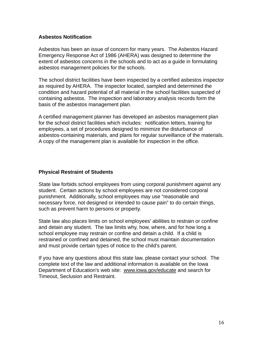## **Asbestos Notification**

Asbestos has been an issue of concern for many years. The Asbestos Hazard Emergency Response Act of 1986 (AHERA) was designed to determine the extent of asbestos concerns in the schools and to act as a guide in formulating asbestos management policies for the schools.

The school district facilities have been inspected by a certified asbestos inspector as required by AHERA. The inspector located, sampled and determined the condition and hazard potential of all material in the school facilities suspected of containing asbestos. The inspection and laboratory analysis records form the basis of the asbestos management plan.

A certified management planner has developed an asbestos management plan for the school district facilities which includes: notification letters, training for employees, a set of procedures designed to minimize the disturbance of asbestos-containing materials, and plans for regular surveillance of the materials. A copy of the management plan is available for inspection in the office.

# **Physical Restraint of Students**

State law forbids school employees from using corporal punishment against any student. Certain actions by school employees are not considered corporal punishment. Additionally, school employees may use "reasonable and necessary force, not designed or intended to cause pain" to do certain things, such as prevent harm to persons or property.

State law also places limits on school employees' abilities to restrain or confine and detain any student. The law limits why, how, where, and for how long a school employee may restrain or confine and detain a child. If a child is restrained or confined and detained, the school must maintain documentation and must provide certain types of notice to the child's parent.

If you have any questions about this state law, please contact your school. The complete text of the law and additional information is available on the Iowa Department of Education's web site: www.iowa.gov/educate and search for Timeout, Seclusion and Restraint.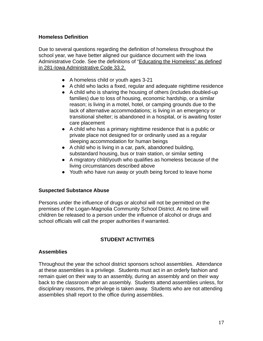# **Homeless Definition**

Due to several questions regarding the definition of homeless throughout the school year, we have better aligned our guidance document with the Iowa Administrative Code. See the definitions of "Educating the Homeless" as defined in 281-Iowa Administrative Code 33.2.

- A homeless child or youth ages 3-21
- A child who lacks a fixed, regular and adequate nighttime residence
- A child who is sharing the housing of others (includes doubled-up families) due to loss of housing, economic hardship, or a similar reason; is living in a motel, hotel, or camping grounds due to the lack of alternative accommodations; is living in an emergency or transitional shelter; is abandoned in a hospital, or is awaiting foster care placement
- A child who has a primary nighttime residence that is a public or private place not designed for or ordinarily used as a regular sleeping accommodation for human beings
- A child who is living in a car, park, abandoned building, substandard housing, bus or train station, or similar setting
- A migratory child/youth who qualifies as homeless because of the living circumstances described above
- Youth who have run away or youth being forced to leave home

## **Suspected Substance Abuse**

Persons under the influence of drugs or alcohol will not be permitted on the premises of the Logan-Magnolia Community School District. At no time will children be released to a person under the influence of alcohol or drugs and school officials will call the proper authorities if warranted.

# **STUDENT ACTIVITIES**

## **Assemblies**

Throughout the year the school district sponsors school assemblies. Attendance at these assemblies is a privilege. Students must act in an orderly fashion and remain quiet on their way to an assembly, during an assembly and on their way back to the classroom after an assembly. Students attend assemblies unless, for disciplinary reasons, the privilege is taken away. Students who are not attending assemblies shall report to the office during assemblies.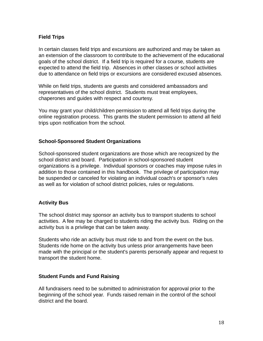# **Field Trips**

In certain classes field trips and excursions are authorized and may be taken as an extension of the classroom to contribute to the achievement of the educational goals of the school district. If a field trip is required for a course, students are expected to attend the field trip. Absences in other classes or school activities due to attendance on field trips or excursions are considered excused absences.

While on field trips, students are guests and considered ambassadors and representatives of the school district. Students must treat employees, chaperones and guides with respect and courtesy.

You may grant your child/children permission to attend all field trips during the online registration process. This grants the student permission to attend all field trips upon notification from the school.

# **School-Sponsored Student Organizations**

School-sponsored student organizations are those which are recognized by the school district and board. Participation in school-sponsored student organizations is a privilege. Individual sponsors or coaches may impose rules in addition to those contained in this handbook. The privilege of participation may be suspended or canceled for violating an individual coach's or sponsor's rules as well as for violation of school district policies, rules or regulations.

## **Activity Bus**

The school district may sponsor an activity bus to transport students to school activities. A fee may be charged to students riding the activity bus. Riding on the activity bus is a privilege that can be taken away.

Students who ride an activity bus must ride to and from the event on the bus. Students ride home on the activity bus unless prior arrangements have been made with the principal or the student's parents personally appear and request to transport the student home.

# **Student Funds and Fund Raising**

All fundraisers need to be submitted to administration for approval prior to the beginning of the school year. Funds raised remain in the control of the school district and the board.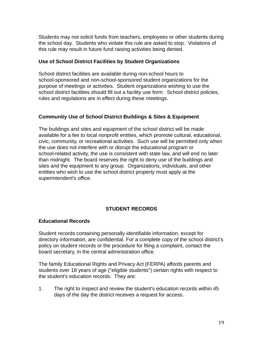Students may not solicit funds from teachers, employees or other students during the school day. Students who violate this rule are asked to stop. Violations of this rule may result in future fund raising activities being denied.

# **Use of School District Facilities by Student Organizations**

School district facilities are available during non-school hours to school-sponsored and non-school-sponsored student organizations for the purpose of meetings or activities. Student organizations wishing to use the school district facilities should fill out a facility use form. School district policies, rules and regulations are in effect during these meetings.

# **Community Use of School District Buildings & Sites & Equipment**

The buildings and sites and equipment of the school district will be made available for a fee to local nonprofit entities, which promote cultural, educational, civic, community, or recreational activities. Such use will be permitted only when the use does not interfere with or disrupt the educational program or school-related activity, the use is consistent with state law, and will end no later than midnight. The board reserves the right to deny use of the buildings and sites and the equipment to any group. Organizations, individuals, and other entities who wish to use the school district property must apply at the superintendent's office.

# **STUDENT RECORDS**

# **Educational Records**

Student records containing personally identifiable information, except for directory information, are confidential. For a complete copy of the school district's policy on student records or the procedure for filing a complaint, contact the board secretary, in the central administration office.

The family Educational Rights and Privacy Act (FERPA) affords parents and students over 18 years of age ("eligible students") certain rights with respect to the student's education records. They are:

1. The right to inspect and review the student's education records within 45 days of the day the district receives a request for access.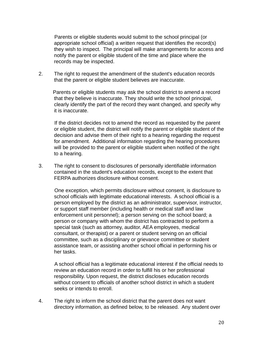Parents or eligible students would submit to the school principal (or appropriate school official) a written request that identifies the record(s) they wish to inspect. The principal will make arrangements for access and notify the parent or eligible student of the time and place where the records may be inspected.

2. The right to request the amendment of the student's education records that the parent or eligible student believes are inaccurate.

Parents or eligible students may ask the school district to amend a record that they believe is inaccurate. They should write the school principal, clearly identify the part of the record they want changed, and specify why it is inaccurate.

If the district decides not to amend the record as requested by the parent or eligible student, the district will notify the parent or eligible student of the decision and advise them of their right to a hearing regarding the request for amendment. Additional information regarding the hearing procedures will be provided to the parent or eligible student when notified of the right to a hearing.

3. The right to consent to disclosures of personally identifiable information contained in the student's education records, except to the extent that FERPA authorizes disclosure without consent.

One exception, which permits disclosure without consent, is disclosure to school officials with legitimate educational interests. A school official is a person employed by the district as an administrator, supervisor, instructor, or support staff member (including health or medical staff and law enforcement unit personnel); a person serving on the school board; a person or company with whom the district has contracted to perform a special task (such as attorney, auditor, AEA employees, medical consultant, or therapist) or a parent or student serving on an official committee, such as a disciplinary or grievance committee or student assistance team, or assisting another school official in performing his or her tasks.

A school official has a legitimate educational interest if the official needs to review an education record in order to fulfill his or her professional responsibility. Upon request, the district discloses education records without consent to officials of another school district in which a student seeks or intends to enroll.

4. The right to inform the school district that the parent does not want directory information, as defined below, to be released. Any student over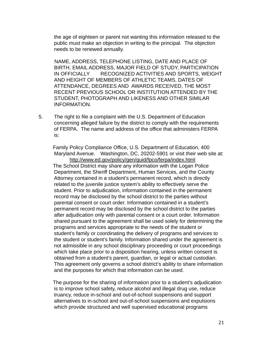the age of eighteen or parent not wanting this information released to the public must make an objection in writing to the principal. The objection needs to be renewed annually.

NAME, ADDRESS, TELEPHONE LISTING, DATE AND PLACE OF BIRTH, EMAIL ADDRESS, MAJOR FIELD OF STUDY, PARTICIPATION IN OFFICIALLY RECOGNIZED ACTIVITIES AND SPORTS, WEIGHT AND HEIGHT OF MEMBERS OF ATHLETIC TEAMS, DATES OF ATTENDANCE, DEGREES AND AWARDS RECEIVED, THE MOST RECENT PREVIOUS SCHOOL OR INSTITUTION ATTENDED BY THE STUDENT, PHOTOGRAPH AND LIKENESS AND OTHER SIMILAR INFORMATION.

5. The right to file a complaint with the U.S. Department of Education concerning alleged failure by the district to comply with the requirements of FERPA. The name and address of the office that administers FERPA is:

Family Policy Compliance Office, U.S. Department of Education, 400 Maryland Avenue. Washington, DC, 20202-5901 or visit their web site at: http://www.ed.gov/policy/gen/guid/fpco/ferpa/index.html The School District may share any information with the Logan Police Department, the Sheriff Department, Human Services, and the County Attorney contained in a student's permanent record, which is directly related to the juvenile justice system's ability to effectively serve the student. Prior to adjudication, information contained in the permanent record may be disclosed by the school district to the parties without parental consent or court order. Information contained in a student's permanent record may be disclosed by the school district to the parties after adjudication only with parental consent or a court order. Information shared pursuant to the agreement shall be used solely for determining the programs and services appropriate to the needs of the student or student's family or coordinating the delivery of programs and services to the student or student's family. Information shared under the agreement is not admissible in any school disciplinary proceeding or court proceedings which take place prior to a disposition hearing, unless written consent is obtained from a student's parent, guardian, or legal or actual custodian. This agreement only governs a school district's ability to share information and the purposes for which that information can be used.

The purpose for the sharing of information prior to a student's adjudication is to improve school safety, reduce alcohol and illegal drug use, reduce truancy, reduce in-school and out-of-school suspensions and support alternatives to in-school and out-of-school suspensions and expulsions which provide structured and well supervised educational programs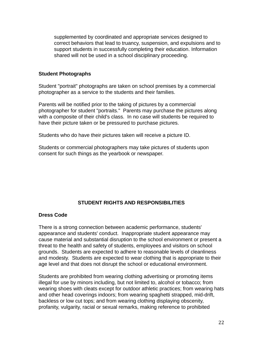supplemented by coordinated and appropriate services designed to correct behaviors that lead to truancy, suspension, and expulsions and to support students in successfully completing their education. Information shared will not be used in a school disciplinary proceeding.

#### **Student Photographs**

Student "portrait" photographs are taken on school premises by a commercial photographer as a service to the students and their families.

Parents will be notified prior to the taking of pictures by a commercial photographer for student "portraits." Parents may purchase the pictures along with a composite of their child's class. In no case will students be required to have their picture taken or be pressured to purchase pictures.

Students who do have their pictures taken will receive a picture ID.

Students or commercial photographers may take pictures of students upon consent for such things as the yearbook or newspaper.

## **STUDENT RIGHTS AND RESPONSIBILITIES**

#### **Dress Code**

There is a strong connection between academic performance, students' appearance and students' conduct. Inappropriate student appearance may cause material and substantial disruption to the school environment or present a threat to the health and safety of students, employees and visitors on school grounds. Students are expected to adhere to reasonable levels of cleanliness and modesty. Students are expected to wear clothing that is appropriate to their age level and that does not disrupt the school or educational environment.

Students are prohibited from wearing clothing advertising or promoting items illegal for use by minors including, but not limited to, alcohol or tobacco; from wearing shoes with cleats except for outdoor athletic practices; from wearing hats and other head coverings indoors; from wearing spaghetti strapped, mid-drift, backless or low cut tops; and from wearing clothing displaying obscenity, profanity, vulgarity, racial or sexual remarks, making reference to prohibited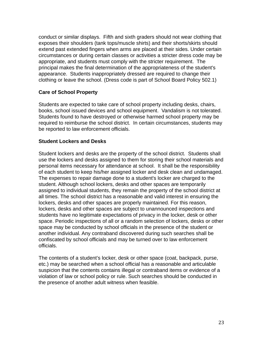conduct or similar displays. Fifth and sixth graders should not wear clothing that exposes their shoulders (tank tops/muscle shirts) and their shorts/skirts should extend past extended fingers when arms are placed at their sides. Under certain circumstances or during certain classes or activities a stricter dress code may be appropriate, and students must comply with the stricter requirement. The principal makes the final determination of the appropriateness of the student's appearance. Students inappropriately dressed are required to change their clothing or leave the school. (Dress code is part of School Board Policy 502.1)

# **Care of School Property**

Students are expected to take care of school property including desks, chairs, books, school issued devices and school equipment. Vandalism is not tolerated. Students found to have destroyed or otherwise harmed school property may be required to reimburse the school district. In certain circumstances, students may be reported to law enforcement officials.

# **Student Lockers and Desks**

Student lockers and desks are the property of the school district. Students shall use the lockers and desks assigned to them for storing their school materials and personal items necessary for attendance at school. It shall be the responsibility of each student to keep his/her assigned locker and desk clean and undamaged. The expenses to repair damage done to a student's locker are charged to the student. Although school lockers, desks and other spaces are temporarily assigned to individual students, they remain the property of the school district at all times. The school district has a reasonable and valid interest in ensuring the lockers, desks and other spaces are properly maintained. For this reason, lockers, desks and other spaces are subject to unannounced inspections and students have no legitimate expectations of privacy in the locker, desk or other space. Periodic inspections of all or a random selection of lockers, desks or other space may be conducted by school officials in the presence of the student or another individual. Any contraband discovered during such searches shall be confiscated by school officials and may be turned over to law enforcement officials.

The contents of a student's locker, desk or other space (coat, backpack, purse, etc.) may be searched when a school official has a reasonable and articulable suspicion that the contents contains illegal or contraband items or evidence of a violation of law or school policy or rule. Such searches should be conducted in the presence of another adult witness when feasible.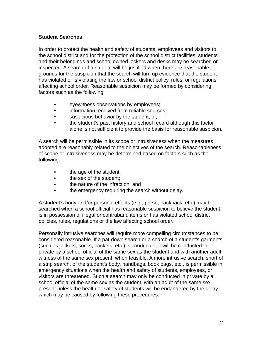# **Student Searches**

In order to protect the health and safety of students, employees and visitors to the school district and for the protection of the school district facilities, students and their belongings and school owned lockers and desks may be searched or inspected. A search of a student will be justified when there are reasonable grounds for the suspicion that the search will turn up evidence that the student has violated or is violating the law or school district policy, rules, or regulations affecting school order. Reasonable suspicion may be formed by considering factors such as the following:

- eyewitness observations by employees;
- information received from reliable sources;
- suspicious behavior by the student; or,
- the student's past history and school record although this factor alone is not sufficient to provide the basis for reasonable suspicion.

A search will be permissible in its scope or intrusiveness when the measures adopted are reasonably related to the objectives of the search. Reasonableness of scope or intrusiveness may be determined based on factors such as the following:

- the age of the student;
- the sex of the student:
- the nature of the infraction: and
- the emergency requiring the search without delay.

A student's body and/or personal effects (e.g., purse, backpack, etc.) may be searched when a school official has reasonable suspicion to believe the student is in possession of illegal or contraband items or has violated school district policies, rules, regulations or the law affecting school order.

Personally intrusive searches will require more compelling circumstances to be considered reasonable. If a pat-down search or a search of a student's garments (such as jackets, socks, pockets, etc.) is conducted, it will be conducted in private by a school official of the same sex as the student and with another adult witness of the same sex present, when feasible. A more intrusive search, short of a strip search, of the student's body, handbags, book bags, etc., is permissible in emergency situations when the health and safety of students, employees, or visitors are threatened. Such a search may only be conducted in private by a school official of the same sex as the student, with an adult of the same sex present unless the health or safety of students will be endangered by the delay which may be caused by following these procedures.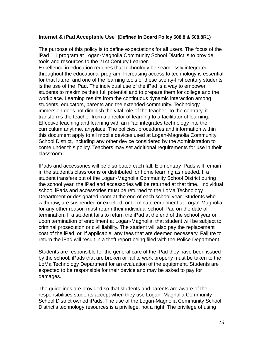## **Internet & iPad Acceptable Use (Defined in Board Policy 508.8 & 508.8R1)**

The purpose of this policy is to define expectations for all users. The focus of the iPad 1:1 program at Logan-Magnolia Community School District is to provide tools and resources to the 21st Century Learner.

Excellence in education requires that technology be seamlessly integrated throughout the educational program. Increasing access to technology is essential for that future, and one of the learning tools of these twenty-first century students is the use of the iPad. The individual use of the iPad is a way to empower students to maximize their full potential and to prepare them for college and the workplace. Learning results from the continuous dynamic interaction among students, educators, parents and the extended community. Technology immersion does not diminish the vital role of the teacher. To the contrary, it transforms the teacher from a director of learning to a facilitator of learning. Effective teaching and learning with an iPad integrates technology into the curriculum anytime, anyplace. The policies, procedures and information within this document apply to all mobile devices used at Logan-Magnolia Community School District, including any other device considered by the Administration to come under this policy. Teachers may set additional requirements for use in their classroom.

IPads and accessories will be distributed each fall. Elementary iPads will remain in the student's classrooms or distributed for home learning as needed. If a student transfers out of the Logan-Magnolia Community School District during the school year, the iPad and accessories will be returned at that time. Individual school iPads and accessories must be returned to the LoMa Technology Department or designated room at the end of each school year. Students who withdraw, are suspended or expelled, or terminate enrollment at Logan-Magnolia for any other reason must return their individual school iPad on the date of termination. If a student fails to return the iPad at the end of the school year or upon termination of enrollment at Logan-Magnolia, that student will be subject to criminal prosecution or civil liability. The student will also pay the replacement cost of the iPad, or, if applicable, any fees that are deemed necessary. Failure to return the iPad will result in a theft report being filed with the Police Department.

Students are responsible for the general care of the iPad they have been issued by the school. iPads that are broken or fail to work properly must be taken to the LoMa Technology Department for an evaluation of the equipment. Students are expected to be responsible for their device and may be asked to pay for damages.

The guidelines are provided so that students and parents are aware of the responsibilities students accept when they use Logan- Magnolia Community School District owned iPads. The use of the Logan-Magnolia Community School District's technology resources is a privilege, not a right. The privilege of using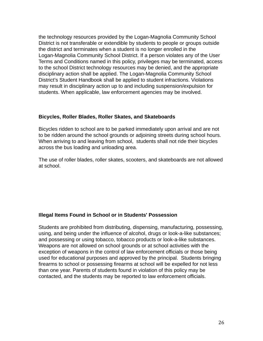the technology resources provided by the Logan-Magnolia Community School District is not transferable or extendible by students to people or groups outside the district and terminates when a student is no longer enrolled in the Logan-Magnolia Community School District. If a person violates any of the User Terms and Conditions named in this policy, privileges may be terminated, access to the school District technology resources may be denied, and the appropriate disciplinary action shall be applied. The Logan-Magnolia Community School District's Student Handbook shall be applied to student infractions. Violations may result in disciplinary action up to and including suspension/expulsion for students. When applicable, law enforcement agencies may be involved.

#### **Bicycles, Roller Blades, Roller Skates, and Skateboards**

Bicycles ridden to school are to be parked immediately upon arrival and are not to be ridden around the school grounds or adjoining streets during school hours. When arriving to and leaving from school, students shall not ride their bicycles across the bus loading and unloading area.

The use of roller blades, roller skates, scooters, and skateboards are not allowed at school.

## **Illegal Items Found in School or in Students' Possession**

Students are prohibited from distributing, dispensing, manufacturing, possessing, using, and being under the influence of alcohol, drugs or look-a-like substances; and possessing or using tobacco, tobacco products or look-a-like substances. Weapons are not allowed on school grounds or at school activities with the exception of weapons in the control of law enforcement officials or those being used for educational purposes and approved by the principal. Students bringing firearms to school or possessing firearms at school will be expelled for not less than one year. Parents of students found in violation of this policy may be contacted, and the students may be reported to law enforcement officials.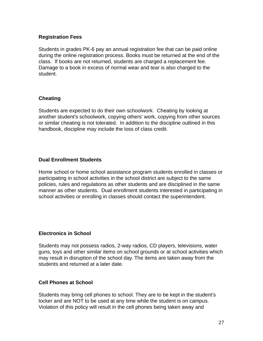# **Registration Fees**

Students in grades PK-6 pay an annual registration fee that can be paid online during the online registration process. Books must be returned at the end of the class. If books are not returned, students are charged a replacement fee. Damage to a book in excess of normal wear and tear is also charged to the student.

# **Cheating**

Students are expected to do their own schoolwork. Cheating by looking at another student's schoolwork, copying others' work, copying from other sources or similar cheating is not tolerated. In addition to the discipline outlined in this handbook, discipline may include the loss of class credit.

# **Dual Enrollment Students**

Home school or home school assistance program students enrolled in classes or participating in school activities in the school district are subject to the same policies, rules and regulations as other students and are disciplined in the same manner as other students. Dual enrollment students interested in participating in school activities or enrolling in classes should contact the superintendent.

## **Electronics in School**

Students may not possess radios, 2-way radios, CD players, televisions, water guns, toys and other similar items on school grounds or at school activities which may result in disruption of the school day. The items are taken away from the students and returned at a later date.

# **Cell Phones at School**

Students may bring cell phones to school. They are to be kept in the student's locker and are NOT to be used at any time while the student is on campus. Violation of this policy will result in the cell phones being taken away and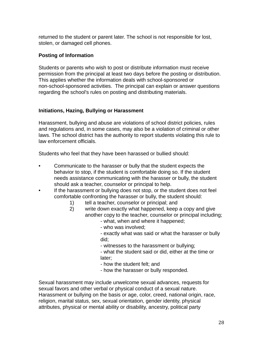returned to the student or parent later. The school is not responsible for lost, stolen, or damaged cell phones.

# **Posting of Information**

Students or parents who wish to post or distribute information must receive permission from the principal at least two days before the posting or distribution. This applies whether the information deals with school-sponsored or non-school-sponsored activities. The principal can explain or answer questions regarding the school's rules on posting and distributing materials.

# **Initiations, Hazing, Bullying or Harassment**

Harassment, bullying and abuse are violations of school district policies, rules and regulations and, in some cases, may also be a violation of criminal or other laws. The school district has the authority to report students violating this rule to law enforcement officials.

Students who feel that they have been harassed or bullied should:

- Communicate to the harasser or bully that the student expects the behavior to stop, if the student is comfortable doing so. If the student needs assistance communicating with the harasser or bully, the student should ask a teacher, counselor or principal to help.
- If the harassment or bullying does not stop, or the student does not feel comfortable confronting the harasser or bully, the student should:
	- 1) tell a teacher, counselor or principal; and
	- 2) write down exactly what happened, keep a copy and give another copy to the teacher, counselor or principal including;
		- what, when and where it happened;
		- who was involved;

- exactly what was said or what the harasser or bully did;

- witnesses to the harassment or bullying;

- what the student said or did, either at the time or later;

- how the student felt; and
- how the harasser or bully responded.

Sexual harassment may include unwelcome sexual advances, requests for sexual favors and other verbal or physical conduct of a sexual nature. Harassment or bullying on the basis or age, color, creed, national origin, race, religion, marital status, sex, sexual orientation, gender identity, physical attributes, physical or mental ability or disability, ancestry, political party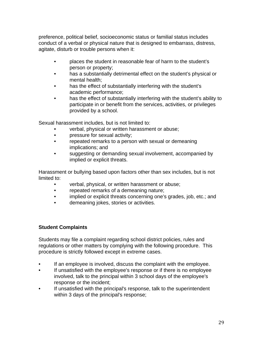preference, political belief, socioeconomic status or familial status includes conduct of a verbal or physical nature that is designed to embarrass, distress, agitate, disturb or trouble persons when it:

- places the student in reasonable fear of harm to the student's person or property;
- has a substantially detrimental effect on the student's physical or mental health;
- has the effect of substantially interfering with the student's academic performance;
- has the effect of substantially interfering with the student's ability to participate in or benefit from the services, activities, or privileges provided by a school.

Sexual harassment includes, but is not limited to:

- verbal, physical or written harassment or abuse;
- pressure for sexual activity;
- repeated remarks to a person with sexual or demeaning implications; and
- suggesting or demanding sexual involvement, accompanied by implied or explicit threats.

Harassment or bullying based upon factors other than sex includes, but is not limited to:

- verbal, physical, or written harassment or abuse;
- repeated remarks of a demeaning nature;
- implied or explicit threats concerning one's grades, job, etc.; and
- demeaning jokes, stories or activities.

# **Student Complaints**

Students may file a complaint regarding school district policies, rules and regulations or other matters by complying with the following procedure. This procedure is strictly followed except in extreme cases.

- If an employee is involved, discuss the complaint with the employee.
- If unsatisfied with the employee's response or if there is no employee involved, talk to the principal within 3 school days of the employee's response or the incident;
- If unsatisfied with the principal's response, talk to the superintendent within 3 days of the principal's response;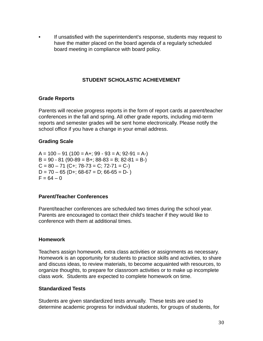• If unsatisfied with the superintendent's response, students may request to have the matter placed on the board agenda of a regularly scheduled board meeting in compliance with board policy.

# **STUDENT SCHOLASTIC ACHIEVEMENT**

## **Grade Reports**

Parents will receive progress reports in the form of report cards at parent/teacher conferences in the fall and spring. All other grade reports, including mid-term reports and semester grades will be sent home electronically. Please notify the school office if you have a change in your email address.

## **Grading Scale**

 $A = 100 - 91 (100 = A +; 99 - 93 = A; 92 - 91 = A -)$  $B = 90 - 81 (90 - 89 = B +; 88 - 83 = B; 82 - 81 = B C = 80 - 71$  (C+; 78-73 = C; 72-71 = C-)  $D = 70 - 65$  (D+; 68-67 = D; 66-65 = D-)  $F = 64 - 0$ 

## **Parent/Teacher Conferences**

Parent/teacher conferences are scheduled two times during the school year. Parents are encouraged to contact their child's teacher if they would like to conference with them at additional times.

#### **Homework**

Teachers assign homework, extra class activities or assignments as necessary. Homework is an opportunity for students to practice skills and activities, to share and discuss ideas, to review materials, to become acquainted with resources, to organize thoughts, to prepare for classroom activities or to make up incomplete class work. Students are expected to complete homework on time.

#### **Standardized Tests**

Students are given standardized tests annually. These tests are used to determine academic progress for individual students, for groups of students, for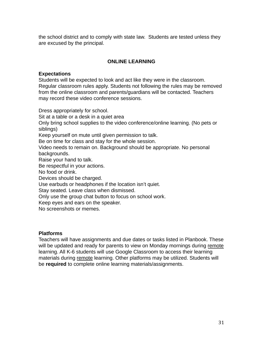the school district and to comply with state law. Students are tested unless they are excused by the principal.

# **ONLINE LEARNING**

## **Expectations**

Students will be expected to look and act like they were in the classroom. Regular classroom rules apply. Students not following the rules may be removed from the online classroom and parents/guardians will be contacted. Teachers may record these video conference sessions.

Dress appropriately for school. Sit at a table or a desk in a quiet area Only bring school supplies to the video conference/online learning. (No pets or siblings) Keep yourself on mute until given permission to talk. Be on time for class and stay for the whole session. Video needs to remain on. Background should be appropriate. No personal backgrounds. Raise your hand to talk. Be respectful in your actions. No food or drink. Devices should be charged. Use earbuds or headphones if the location isn't quiet. Stay seated. Leave class when dismissed. Only use the group chat button to focus on school work. Keep eyes and ears on the speaker. No screenshots or memes.

#### **Platforms**

Teachers will have assignments and due dates or tasks listed in Planbook. These will be updated and ready for parents to view on Monday mornings during remote learning. All K-6 students will use Google Classroom to access their learning materials during remote learning. Other platforms may be utilized. Students will be **required** to complete online learning materials/assignments.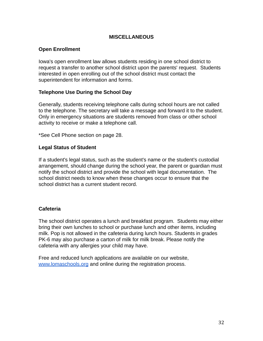## **MISCELLANEOUS**

## **Open Enrollment**

Iowa's open enrollment law allows students residing in one school district to request a transfer to another school district upon the parents' request. Students interested in open enrolling out of the school district must contact the superintendent for information and forms.

## **Telephone Use During the School Day**

Generally, students receiving telephone calls during school hours are not called to the telephone. The secretary will take a message and forward it to the student. Only in emergency situations are students removed from class or other school activity to receive or make a telephone call.

\*See Cell Phone section on page 28.

# **Legal Status of Student**

If a student's legal status, such as the student's name or the student's custodial arrangement, should change during the school year, the parent or guardian must notify the school district and provide the school with legal documentation. The school district needs to know when these changes occur to ensure that the school district has a current student record.

## **Cafeteria**

The school district operates a lunch and breakfast program. Students may either bring their own lunches to school or purchase lunch and other items, including milk. Pop is not allowed in the cafeteria during lunch hours. Students in grades PK-6 may also purchase a carton of milk for milk break. Please notify the cafeteria with any allergies your child may have.

Free and reduced lunch applications are available on our website, [www.lomaschools.org](http://www.lomaschools.org) and online during the registration process.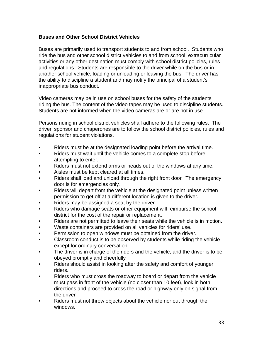# **Buses and Other School District Vehicles**

Buses are primarily used to transport students to and from school. Students who ride the bus and other school district vehicles to and from school, extracurricular activities or any other destination must comply with school district policies, rules and regulations. Students are responsible to the driver while on the bus or in another school vehicle, loading or unloading or leaving the bus. The driver has the ability to discipline a student and may notify the principal of a student's inappropriate bus conduct.

Video cameras may be in use on school buses for the safety of the students riding the bus. The content of the video tapes may be used to discipline students. Students are not informed when the video cameras are or are not in use.

Persons riding in school district vehicles shall adhere to the following rules. The driver, sponsor and chaperones are to follow the school district policies, rules and regulations for student violations.

- Riders must be at the designated loading point before the arrival time.
- Riders must wait until the vehicle comes to a complete stop before attempting to enter.
- Riders must not extend arms or heads out of the windows at any time.
- Aisles must be kept cleared at all times.
- Riders shall load and unload through the right front door. The emergency door is for emergencies only.
- Riders will depart from the vehicle at the designated point unless written permission to get off at a different location is given to the driver.
- Riders may be assigned a seat by the driver.
- Riders who damage seats or other equipment will reimburse the school district for the cost of the repair or replacement.
- Riders are not permitted to leave their seats while the vehicle is in motion.
- Waste containers are provided on all vehicles for riders' use.
- Permission to open windows must be obtained from the driver.
- Classroom conduct is to be observed by students while riding the vehicle except for ordinary conversation.
- The driver is in charge of the riders and the vehicle, and the driver is to be obeyed promptly and cheerfully.
- Riders should assist in looking after the safety and comfort of younger riders.
- Riders who must cross the roadway to board or depart from the vehicle must pass in front of the vehicle (no closer than 10 feet), look in both directions and proceed to cross the road or highway only on signal from the driver.
- Riders must not throw objects about the vehicle nor out through the windows.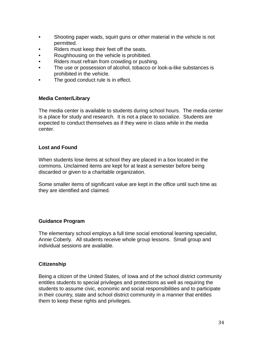- Shooting paper wads, squirt guns or other material in the vehicle is not permitted.
- Riders must keep their feet off the seats.
- Roughhousing on the vehicle is prohibited.
- Riders must refrain from crowding or pushing.
- The use or possession of alcohol, tobacco or look-a-like substances is prohibited in the vehicle.
- The good conduct rule is in effect.

# **Media Center/Library**

The media center is available to students during school hours. The media center is a place for study and research. It is not a place to socialize. Students are expected to conduct themselves as if they were in class while in the media center.

# **Lost and Found**

When students lose items at school they are placed in a box located in the commons. Unclaimed items are kept for at least a semester before being discarded or given to a charitable organization.

Some smaller items of significant value are kept in the office until such time as they are identified and claimed.

## **Guidance Program**

The elementary school employs a full time social emotional learning specialist, Annie Coberly. All students receive whole group lessons. Small group and individual sessions are available.

## **Citizenship**

Being a citizen of the United States, of Iowa and of the school district community entitles students to special privileges and protections as well as requiring the students to assume civic, economic and social responsibilities and to participate in their country, state and school district community in a manner that entitles them to keep these rights and privileges.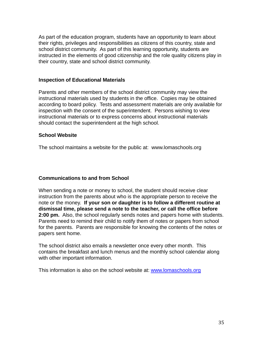As part of the education program, students have an opportunity to learn about their rights, privileges and responsibilities as citizens of this country, state and school district community. As part of this learning opportunity, students are instructed in the elements of good citizenship and the role quality citizens play in their country, state and school district community.

## **Inspection of Educational Materials**

Parents and other members of the school district community may view the instructional materials used by students in the office. Copies may be obtained according to board policy. Tests and assessment materials are only available for inspection with the consent of the superintendent. Persons wishing to view instructional materials or to express concerns about instructional materials should contact the superintendent at the high school.

# **School Website**

The school maintains a website for the public at: www.lomaschools.org

# **Communications to and from School**

When sending a note or money to school, the student should receive clear instruction from the parents about who is the appropriate person to receive the note or the money. **If your son or daughter is to follow a different routine at dismissal time, please send a note to the teacher, or call the office before 2:00 pm.** Also, the school regularly sends notes and papers home with students. Parents need to remind their child to notify them of notes or papers from school for the parents. Parents are responsible for knowing the contents of the notes or papers sent home.

The school district also emails a newsletter once every other month. This contains the breakfast and lunch menus and the monthly school calendar along with other important information.

This information is also on the school website at: [www.lomaschools.org](http://www.lomaschools.org)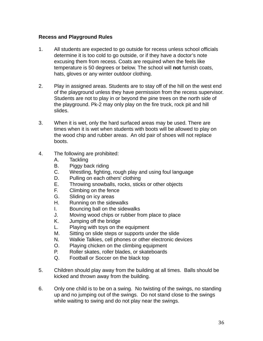# **Recess and Playground Rules**

- 1. All students are expected to go outside for recess unless school officials determine it is too cold to go outside, or if they have a doctor's note excusing them from recess. Coats are required when the feels like temperature is 50 degrees or below. The school will **not** furnish coats, hats, gloves or any winter outdoor clothing.
- 2. Play in assigned areas. Students are to stay off of the hill on the west end of the playground unless they have permission from the recess supervisor. Students are not to play in or beyond the pine trees on the north side of the playground. Pk-2 may only play on the fire truck, rock pit and hill slides.
- 3. When it is wet, only the hard surfaced areas may be used. There are times when it is wet when students with boots will be allowed to play on the wood chip and rubber areas. An old pair of shoes will not replace boots.
- 4. The following are prohibited:
	- A. Tackling
	- B. Piggy back riding
	- C. Wrestling, fighting, rough play and using foul language
	- D. Pulling on each others' clothing
	- E. Throwing snowballs, rocks, sticks or other objects
	- F. Climbing on the fence
	- G. Sliding on icy areas
	- H. Running on the sidewalks
	- I. Bouncing ball on the sidewalks
	- J. Moving wood chips or rubber from place to place
	- K. Jumping off the bridge
	- L. Playing with toys on the equipment
	- M. Sitting on slide steps or supports under the slide
	- N. Walkie Talkies, cell phones or other electronic devices
	- O. Playing chicken on the climbing equipment
	- P. Roller skates, roller blades, or skateboards
	- Q. Football or Soccer on the black top
- 5. Children should play away from the building at all times. Balls should be kicked and thrown away from the building.
- 6. Only one child is to be on a swing. No twisting of the swings, no standing up and no jumping out of the swings. Do not stand close to the swings while waiting to swing and do not play near the swings.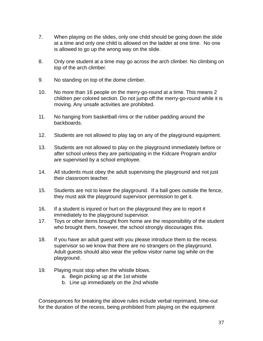- 7. When playing on the slides, only one child should be going down the slide at a time and only one child is allowed on the ladder at one time. No one is allowed to go up the wrong way on the slide.
- 8. Only one student at a time may go across the arch climber. No climbing on top of the arch climber.
- 9. No standing on top of the dome climber.
- 10. No more than 16 people on the merry-go-round at a time. This means 2 children per colored section. Do not jump off the merry-go-round while it is moving. Any unsafe activities are prohibited.
- 11. No hanging from basketball rims or the rubber padding around the backboards.
- 12. Students are not allowed to play tag on any of the playground equipment.
- 13. Students are not allowed to play on the playground immediately before or after school unless they are participating in the Kidcare Program and/or are supervised by a school employee.
- 14. All students must obey the adult supervising the playground and not just their classroom teacher.
- 15. Students are not to leave the playground. If a ball goes outside the fence, they must ask the playground supervisor permission to get it.
- 16. If a student is injured or hurt on the playground they are to report it immediately to the playground supervisor.
- 17. Toys or other items brought from home are the responsibility of the student who brought them, however, the school strongly discourages this.
- 18. If you have an adult guest with you please introduce them to the recess supervisor so we know that there are no strangers on the playground. Adult guests should also wear the yellow visitor name tag while on the playground.
- 19. Playing must stop when the whistle blows.
	- a. Begin picking up at the 1st whistle
	- b. Line up immediately on the 2nd whistle

Consequences for breaking the above rules include verbal reprimand, time-out for the duration of the recess, being prohibited from playing on the equipment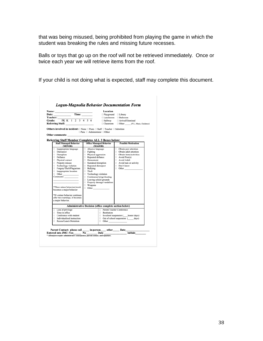that was being misused, being prohibited from playing the game in which the student was breaking the rules and missing future recesses.

Balls or toys that go up on the roof will not be retrieved immediately. Once or twice each year we will retrieve items from the roof.

If your child is not doing what is expected, staff may complete this document.

|                                                                                                            |                                               | Location                                                |                                                    |  |
|------------------------------------------------------------------------------------------------------------|-----------------------------------------------|---------------------------------------------------------|----------------------------------------------------|--|
|                                                                                                            |                                               |                                                         | $\Box$ Playground $\Box$ Library                   |  |
| Teacher:                                                                                                   |                                               |                                                         | □ Lunchroom □ Bathroom                             |  |
| PK K 1 2 3 4 5 6<br><b>Grade:</b>                                                                          |                                               | $\Box$ Hallway                                          | □ Arrival/Dismissal                                |  |
| Referring Staff:                                                                                           |                                               |                                                         | □ Classroom □ Other (P.E., Music, Guidance)        |  |
| <b>Others involved in incident:</b> $\Box$ None $\Box$ Peers $\Box$ Staff $\Box$ Teacher $\Box$ Substitute |                                               |                                                         |                                                    |  |
| Other comments:                                                                                            | $\Box$ Para $\Box$ Administrator $\Box$ Other |                                                         |                                                    |  |
| Referring Staff Member Completes ALL 3 Boxes below:                                                        |                                               |                                                         |                                                    |  |
| <b>Staff Managed Behavior</b><br>(MINOR)                                                                   | <b>Office Managed Behavior</b><br>(MAJOR)     |                                                         | <b>Possible Motivation</b>                         |  |
| nappropriate language                                                                                      | $\Box$ Abusive language                       |                                                         | □ Obtain peer attention                            |  |
| Disrespect                                                                                                 | $\Box$ Fighting                               |                                                         | □ Obtain adult attention                           |  |
| Disruption                                                                                                 | Physical aggression                           |                                                         | $\Box$ Obtain items/activities                     |  |
| Defiance                                                                                                   | Repeated defiance<br><b>Harassment</b>        |                                                         | $\Box$ Avoid Peer(s)<br>□ Avoid Adult              |  |
| Physical contact                                                                                           | $\Box$ Sustained disruption                   |                                                         |                                                    |  |
| $\Box$ Property misuse<br>$\Box$ Technology violation                                                      |                                               |                                                         | $\Box$ Avoid task or activity<br>$\Box$ Don't know |  |
| Forgery/Theft/Plagiarism                                                                                   | $\Box$ Repeated disrespect<br><b>Bullying</b> |                                                         | $\Box$ Other                                       |  |
| $\Box$ Inappropriate location                                                                              | $\Box$ Theft                                  |                                                         |                                                    |  |
| $\Box$ Other                                                                                               | Technology violation                          |                                                         |                                                    |  |
| $\label{1.1} \textbf{Comments:}\qquad \qquad$                                                              | □ Continuous lying/cheating                   |                                                         |                                                    |  |
|                                                                                                            | $\Box$ Leaving school grounds                 |                                                         |                                                    |  |
|                                                                                                            | Property damage/vandalism                     |                                                         |                                                    |  |
|                                                                                                            | $\Box$ Weapons                                |                                                         |                                                    |  |
| *Three minor behaviors/week<br>becomes a major behavior                                                    | $\Box$ Other                                  |                                                         |                                                    |  |
| *If a minor behavior continues                                                                             |                                               |                                                         |                                                    |  |
| after two warnings, it becomes                                                                             |                                               |                                                         |                                                    |  |
| a major behavior.                                                                                          |                                               |                                                         |                                                    |  |
|                                                                                                            |                                               | Administrative Decision (office complete section below) |                                                    |  |
| $\Box$ Loss of privilege                                                                                   |                                               | □ Parent/Teacher Conference                             |                                                    |  |
| $\Box$ Time in office                                                                                      |                                               | Restitution                                             |                                                    |  |
| □ Conference with student                                                                                  |                                               |                                                         | $\Box$ In-school suspension (hours/days)           |  |
| $\Box$ Individualized instruction                                                                          |                                               |                                                         | $\Box$ Out of school suspension ( days)            |  |
| Recess/Lunch Detention                                                                                     |                                               | $\Box$ Other                                            |                                                    |  |
| Parent Contact: phone call _____ in-person____ other_____ Date_______                                      |                                               |                                                         |                                                    |  |
| Entered into JMC: Yes_________ No____________ Date___________                                              |                                               |                                                         | <b>Initials</b>                                    |  |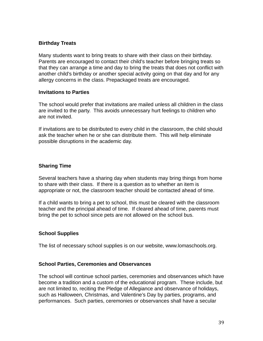# **Birthday Treats**

Many students want to bring treats to share with their class on their birthday. Parents are encouraged to contact their child's teacher before bringing treats so that they can arrange a time and day to bring the treats that does not conflict with another child's birthday or another special activity going on that day and for any allergy concerns in the class. Prepackaged treats are encouraged.

## **Invitations to Parties**

The school would prefer that invitations are mailed unless all children in the class are invited to the party. This avoids unnecessary hurt feelings to children who are not invited.

If invitations are to be distributed to every child in the classroom, the child should ask the teacher when he or she can distribute them. This will help eliminate possible disruptions in the academic day.

## **Sharing Time**

Several teachers have a sharing day when students may bring things from home to share with their class. If there is a question as to whether an item is appropriate or not, the classroom teacher should be contacted ahead of time.

If a child wants to bring a pet to school, this must be cleared with the classroom teacher and the principal ahead of time. If cleared ahead of time, parents must bring the pet to school since pets are not allowed on the school bus.

## **School Supplies**

The list of necessary school supplies is on our website, www.lomaschools.org.

## **School Parties, Ceremonies and Observances**

The school will continue school parties, ceremonies and observances which have become a tradition and a custom of the educational program. These include, but are not limited to, reciting the Pledge of Allegiance and observance of holidays, such as Halloween, Christmas, and Valentine's Day by parties, programs, and performances. Such parties, ceremonies or observances shall have a secular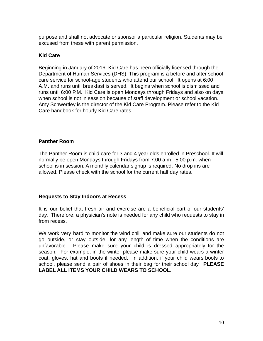purpose and shall not advocate or sponsor a particular religion. Students may be excused from these with parent permission.

# **Kid Care**

Beginning in January of 2016, Kid Care has been officially licensed through the Department of Human Services (DHS). This program is a before and after school care service for school-age students who attend our school. It opens at 6:00 A.M. and runs until breakfast is served. It begins when school is dismissed and runs until 6:00 P.M. Kid Care is open Mondays through Fridays and also on days when school is not in session because of staff development or school vacation. Amy Schwertley is the director of the Kid Care Program. Please refer to the Kid Care handbook for hourly Kid Care rates.

# **Panther Room**

The Panther Room is child care for 3 and 4 year olds enrolled in Preschool. It will normally be open Mondays through Fridays from 7:00 a.m - 5:00 p.m. when school is in session. A monthly calendar signup is required. No drop ins are allowed. Please check with the school for the current half day rates.

## **Requests to Stay Indoors at Recess**

It is our belief that fresh air and exercise are a beneficial part of our students' day. Therefore, a physician's note is needed for any child who requests to stay in from recess.

We work very hard to monitor the wind chill and make sure our students do not go outside, or stay outside, for any length of time when the conditions are unfavorable. Please make sure your child is dressed appropriately for the season. For example, in the winter please make sure your child wears a winter coat, gloves, hat and boots if needed. In addition, if your child wears boots to school, please send a pair of shoes in their bag for their school day. **PLEASE LABEL ALL ITEMS YOUR CHILD WEARS TO SCHOOL.**